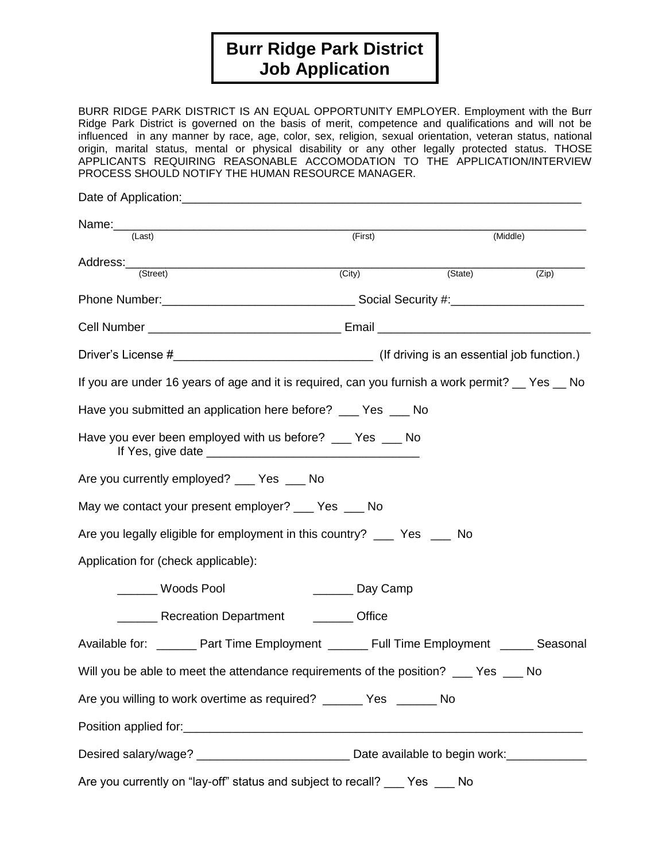# **Burr Ridge Park District Job Application**

BURR RIDGE PARK DISTRICT IS AN EQUAL OPPORTUNITY EMPLOYER. Employment with the Burr Ridge Park District is governed on the basis of merit, competence and qualifications and will not be influenced in any manner by race, age, color, sex, religion, sexual orientation, veteran status, national origin, marital status, mental or physical disability or any other legally protected status. THOSE APPLICANTS REQUIRING REASONABLE ACCOMODATION TO THE APPLICATION/INTERVIEW PROCESS SHOULD NOTIFY THE HUMAN RESOURCE MANAGER.

| Name: (Last)                                                                                        | (First)             | (Middle)  |       |
|-----------------------------------------------------------------------------------------------------|---------------------|-----------|-------|
| Address:<br>(Street)                                                                                | $\overline{(City)}$ | (State)   | (Zip) |
|                                                                                                     |                     |           |       |
|                                                                                                     |                     |           |       |
|                                                                                                     |                     |           |       |
| If you are under 16 years of age and it is required, can you furnish a work permit? _ Yes _ No      |                     |           |       |
| Have you submitted an application here before? __ Yes __ No                                         |                     |           |       |
| Have you ever been employed with us before? __ Yes _ No                                             |                     |           |       |
| Are you currently employed? ____ Yes ____ No                                                        |                     |           |       |
| May we contact your present employer? ___ Yes ___ No                                                |                     |           |       |
| Are you legally eligible for employment in this country? ______ Yes _____ No                        |                     |           |       |
| Application for (check applicable):                                                                 |                     |           |       |
| <b>Woods Pool</b>                                                                                   | _________ Day Camp  |           |       |
| Letter Recreation Department Letter Coffice                                                         |                     |           |       |
| Available for: _________ Part Time Employment ________ Full Time Employment _______ Seasonal        |                     |           |       |
| Will you be able to meet the attendance requirements of the position? __ Yes                        |                     |           | No    |
| Are you willing to work overtime as required? _______ Yes ______ No                                 |                     |           |       |
|                                                                                                     |                     |           |       |
| Desired salary/wage? ________________________________Date available to begin work:_________________ |                     |           |       |
| Are you currently on "lay-off" status and subject to recall?                                        |                     | Yes<br>No |       |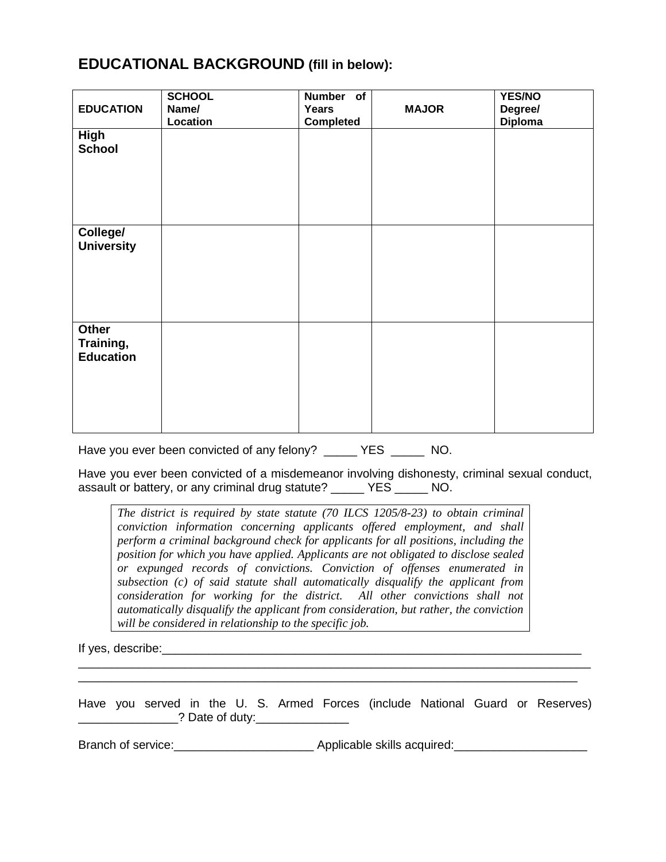### **EDUCATIONAL BACKGROUND (fill in below):**

| <b>EDUCATION</b>                       | <b>SCHOOL</b><br>Name/<br>Location | <b>Number</b><br>of<br>Years<br><b>Completed</b> | <b>MAJOR</b> | YES/NO<br>Degree/<br><b>Diploma</b> |
|----------------------------------------|------------------------------------|--------------------------------------------------|--------------|-------------------------------------|
| <b>High</b><br><b>School</b>           |                                    |                                                  |              |                                     |
| College/<br><b>University</b>          |                                    |                                                  |              |                                     |
| Other<br>Training,<br><b>Education</b> |                                    |                                                  |              |                                     |

Have you ever been convicted of any felony? YES MO.

Have you ever been convicted of a misdemeanor involving dishonesty, criminal sexual conduct, assault or battery, or any criminal drug statute? \_\_\_\_\_ YES \_\_\_\_\_ NO.

*The district is required by state statute (70 ILCS 1205/8-23) to obtain criminal conviction information concerning applicants offered employment, and shall perform a criminal background check for applicants for all positions, including the position for which you have applied. Applicants are not obligated to disclose sealed or expunged records of convictions. Conviction of offenses enumerated in subsection (c) of said statute shall automatically disqualify the applicant from consideration for working for the district. All other convictions shall not automatically disqualify the applicant from consideration, but rather, the conviction will be considered in relationship to the specific job.* 

If yes, describe:\_\_\_\_\_\_\_\_\_\_\_\_\_\_\_\_\_\_\_\_\_\_\_\_\_\_\_\_\_\_\_\_\_\_\_\_\_\_\_\_\_\_\_\_\_\_\_\_\_\_\_\_\_\_\_\_\_\_\_\_\_\_\_

Have you served in the U. S. Armed Forces (include National Guard or Reserves) \_\_\_\_\_\_\_\_\_\_\_\_\_\_\_? Date of duty:\_\_\_\_\_\_\_\_\_\_\_\_\_\_

\_\_\_\_\_\_\_\_\_\_\_\_\_\_\_\_\_\_\_\_\_\_\_\_\_\_\_\_\_\_\_\_\_\_\_\_\_\_\_\_\_\_\_\_\_\_\_\_\_\_\_\_\_\_\_\_\_\_\_\_\_\_\_\_\_\_\_\_\_\_\_\_\_\_\_\_\_ \_\_\_\_\_\_\_\_\_\_\_\_\_\_\_\_\_\_\_\_\_\_\_\_\_\_\_\_\_\_\_\_\_\_\_\_\_\_\_\_\_\_\_\_\_\_\_\_\_\_\_\_\_\_\_\_\_\_\_\_\_\_\_\_\_\_\_\_\_\_\_\_\_\_\_

Branch of service:\_\_\_\_\_\_\_\_\_\_\_\_\_\_\_\_\_\_\_\_\_ Applicable skills acquired:\_\_\_\_\_\_\_\_\_\_\_\_\_\_\_\_\_\_\_\_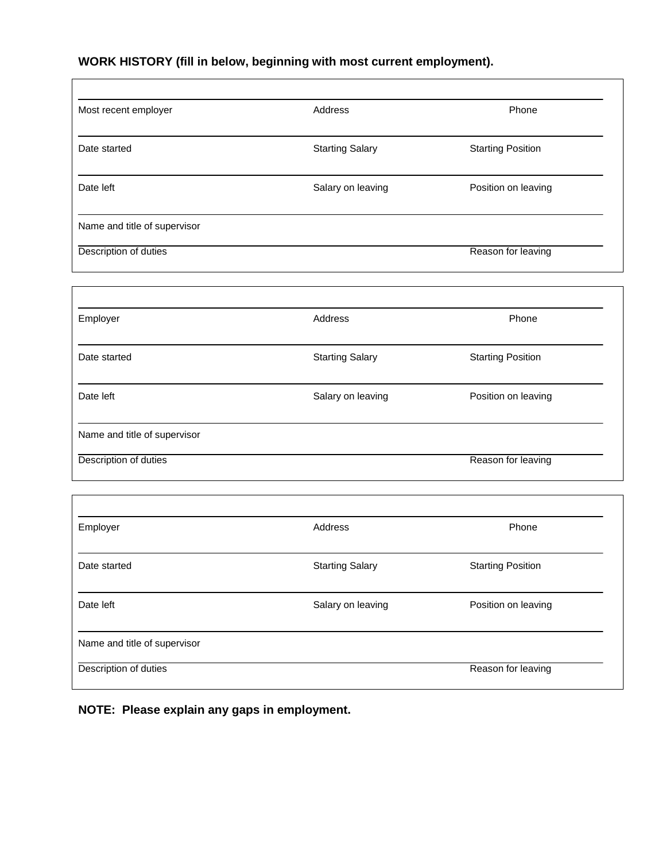## **WORK HISTORY (fill in below, beginning with most current employment).**

 $\Gamma$ 

| Most recent employer         | Address                | Phone                    |
|------------------------------|------------------------|--------------------------|
| Date started                 | <b>Starting Salary</b> | <b>Starting Position</b> |
| Date left                    | Salary on leaving      | Position on leaving      |
| Name and title of supervisor |                        |                          |
| Description of duties        |                        | Reason for leaving       |
|                              |                        |                          |
| Employer                     | Address                | Phone                    |
| Date started                 | <b>Starting Salary</b> | <b>Starting Position</b> |
| Date left                    | Salary on leaving      | Position on leaving      |
| Name and title of supervisor |                        |                          |
| Description of duties        |                        | Reason for leaving       |
|                              |                        |                          |
| Employer                     | Address                | Phone                    |
| Date started                 | <b>Starting Salary</b> | <b>Starting Position</b> |
| Date left                    | Salary on leaving      | Position on leaving      |
| Name and title of supervisor |                        |                          |
| Description of duties        |                        | Reason for leaving       |

**NOTE: Please explain any gaps in employment.**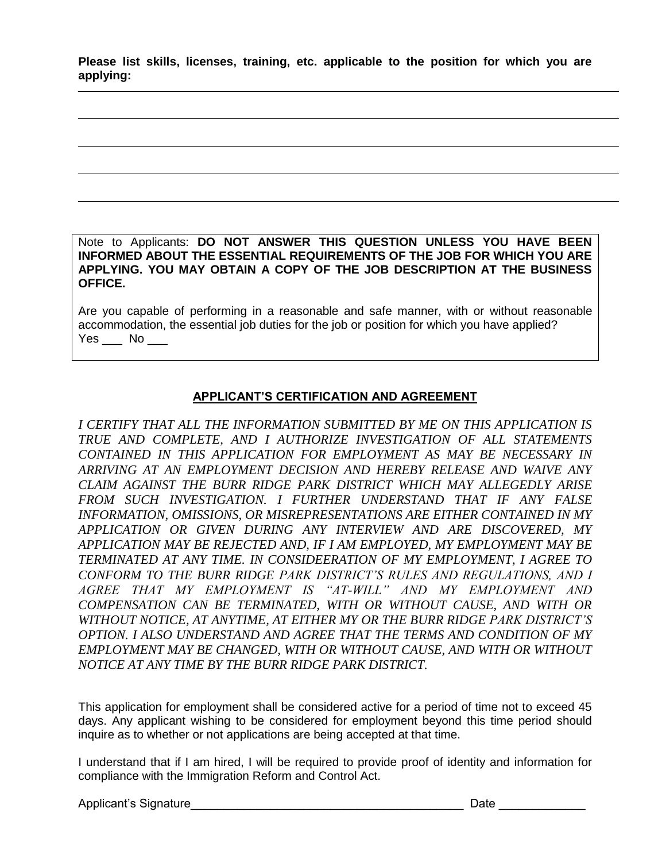**Please list skills, licenses, training, etc. applicable to the position for which you are applying:**

Note to Applicants: **DO NOT ANSWER THIS QUESTION UNLESS YOU HAVE BEEN INFORMED ABOUT THE ESSENTIAL REQUIREMENTS OF THE JOB FOR WHICH YOU ARE APPLYING. YOU MAY OBTAIN A COPY OF THE JOB DESCRIPTION AT THE BUSINESS OFFICE.** 

Are you capable of performing in a reasonable and safe manner, with or without reasonable accommodation, the essential job duties for the job or position for which you have applied?  $Yes$  No \_\_\_\_

#### **APPLICANT'S CERTIFICATION AND AGREEMENT**

*I CERTIFY THAT ALL THE INFORMATION SUBMITTED BY ME ON THIS APPLICATION IS TRUE AND COMPLETE, AND I AUTHORIZE INVESTIGATION OF ALL STATEMENTS CONTAINED IN THIS APPLICATION FOR EMPLOYMENT AS MAY BE NECESSARY IN ARRIVING AT AN EMPLOYMENT DECISION AND HEREBY RELEASE AND WAIVE ANY CLAIM AGAINST THE BURR RIDGE PARK DISTRICT WHICH MAY ALLEGEDLY ARISE FROM SUCH INVESTIGATION. I FURTHER UNDERSTAND THAT IF ANY FALSE INFORMATION, OMISSIONS, OR MISREPRESENTATIONS ARE EITHER CONTAINED IN MY APPLICATION OR GIVEN DURING ANY INTERVIEW AND ARE DISCOVERED, MY APPLICATION MAY BE REJECTED AND, IF I AM EMPLOYED, MY EMPLOYMENT MAY BE TERMINATED AT ANY TIME. IN CONSIDEERATION OF MY EMPLOYMENT, I AGREE TO CONFORM TO THE BURR RIDGE PARK DISTRICT'S RULES AND REGULATIONS, AND I AGREE THAT MY EMPLOYMENT IS "AT-WILL" AND MY EMPLOYMENT AND COMPENSATION CAN BE TERMINATED, WITH OR WITHOUT CAUSE, AND WITH OR WITHOUT NOTICE, AT ANYTIME, AT EITHER MY OR THE BURR RIDGE PARK DISTRICT'S OPTION. I ALSO UNDERSTAND AND AGREE THAT THE TERMS AND CONDITION OF MY EMPLOYMENT MAY BE CHANGED, WITH OR WITHOUT CAUSE, AND WITH OR WITHOUT NOTICE AT ANY TIME BY THE BURR RIDGE PARK DISTRICT.*

This application for employment shall be considered active for a period of time not to exceed 45 days. Any applicant wishing to be considered for employment beyond this time period should inquire as to whether or not applications are being accepted at that time.

I understand that if I am hired, I will be required to provide proof of identity and information for compliance with the Immigration Reform and Control Act.

Applicant's Signature\_\_\_\_\_\_\_\_\_\_\_\_\_\_\_\_\_\_\_\_\_\_\_\_\_\_\_\_\_\_\_\_\_\_\_\_\_\_\_\_\_ Date \_\_\_\_\_\_\_\_\_\_\_\_\_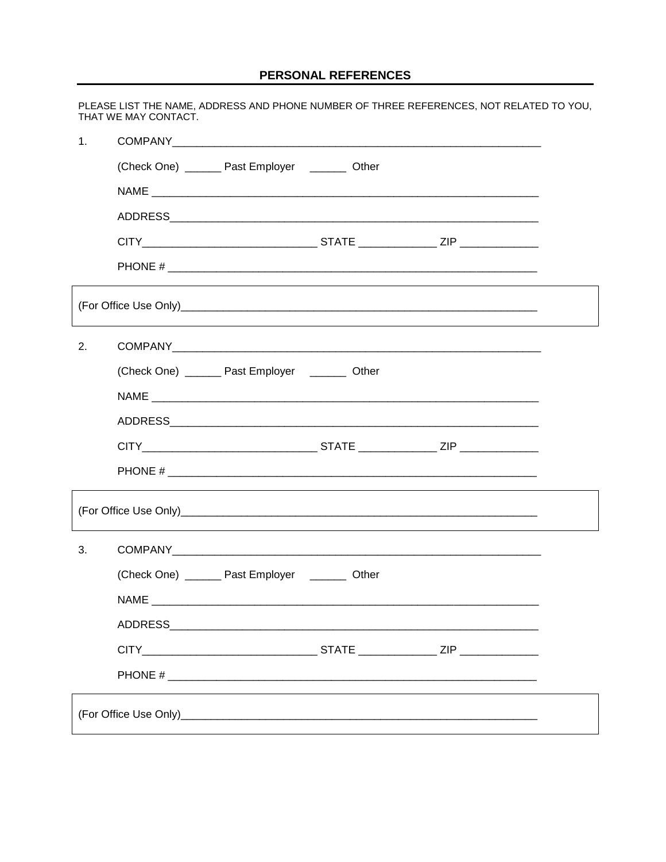#### PERSONAL REFERENCES

|    | PLEASE LIST THE NAME, ADDRESS AND PHONE NUMBER OF THREE REFERENCES, NOT RELATED TO YOU,<br>THAT WE MAY CONTACT. |  |  |
|----|-----------------------------------------------------------------------------------------------------------------|--|--|
| 1. |                                                                                                                 |  |  |
|    | (Check One) _______ Past Employer _______ Other                                                                 |  |  |
|    |                                                                                                                 |  |  |
|    |                                                                                                                 |  |  |
|    | CITY___________________________________STATE _________________ZIP ______________                                |  |  |
|    |                                                                                                                 |  |  |
|    |                                                                                                                 |  |  |
| 2. |                                                                                                                 |  |  |
|    | (Check One) ________ Past Employer ________ Other                                                               |  |  |
|    |                                                                                                                 |  |  |
|    |                                                                                                                 |  |  |
|    |                                                                                                                 |  |  |
|    |                                                                                                                 |  |  |
|    |                                                                                                                 |  |  |
| 3. |                                                                                                                 |  |  |
|    | (Check One) _______ Past Employer ________ Other                                                                |  |  |
|    |                                                                                                                 |  |  |
|    |                                                                                                                 |  |  |
|    |                                                                                                                 |  |  |
|    |                                                                                                                 |  |  |
|    |                                                                                                                 |  |  |